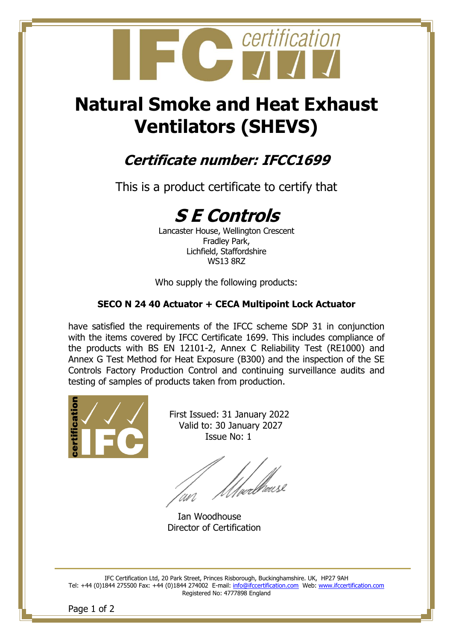

# **Natural Smoke and Heat Exhaust Ventilators (SHEVS)**

## **Certificate number: IFCC1699**

This is a product certificate to certify that

## **S E Controls**

Lancaster House, Wellington Crescent Fradley Park, Lichfield, Staffordshire WS13 8RZ

Who supply the following products:

#### **SECO N 24 40 Actuator + CECA Multipoint Lock Actuator**

have satisfied the requirements of the IFCC scheme SDP 31 in conjunction with the items covered by IFCC Certificate 1699. This includes compliance of the products with BS EN 12101-2, Annex C Reliability Test (RE1000) and Annex G Test Method for Heat Exposure (B300) and the inspection of the SE Controls Factory Production Control and continuing surveillance audits and testing of samples of products taken from production.



 First Issued: 31 January 2022 Valid to: 30 January 2027 Issue No: 1

'<br>|ualkeusl

Ian Woodhouse Director of Certification

IFC Certification Ltd, 20 Park Street, Princes Risborough, Buckinghamshire. UK, HP27 9AH Tel: +44 (0)1844 275500 Fax: +44 (0)1844 274002 E-mail: [info@ifccertification.com](mailto:info@ifccertification.com) Web: [www.ifccertification.com](http://www.ifccertification.com/) Registered No: 4777898 England

Page 1 of 2